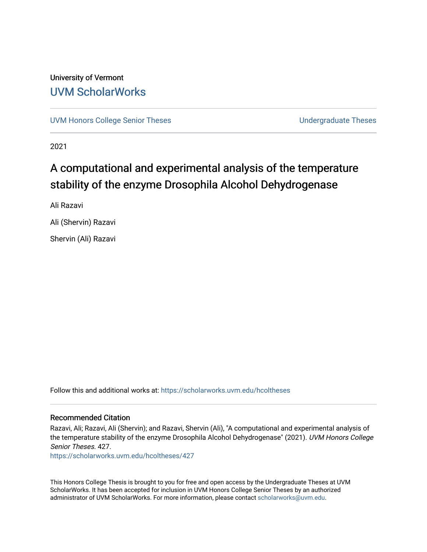## University of Vermont [UVM ScholarWorks](https://scholarworks.uvm.edu/)

[UVM Honors College Senior Theses](https://scholarworks.uvm.edu/hcoltheses) **Exercise Sension College Senior Theses** Undergraduate Theses

2021

# A computational and experimental analysis of the temperature stability of the enzyme Drosophila Alcohol Dehydrogenase

Ali Razavi

Ali (Shervin) Razavi

Shervin (Ali) Razavi

Follow this and additional works at: [https://scholarworks.uvm.edu/hcoltheses](https://scholarworks.uvm.edu/hcoltheses?utm_source=scholarworks.uvm.edu%2Fhcoltheses%2F427&utm_medium=PDF&utm_campaign=PDFCoverPages) 

#### Recommended Citation

Razavi, Ali; Razavi, Ali (Shervin); and Razavi, Shervin (Ali), "A computational and experimental analysis of the temperature stability of the enzyme Drosophila Alcohol Dehydrogenase" (2021). UVM Honors College Senior Theses. 427.

[https://scholarworks.uvm.edu/hcoltheses/427](https://scholarworks.uvm.edu/hcoltheses/427?utm_source=scholarworks.uvm.edu%2Fhcoltheses%2F427&utm_medium=PDF&utm_campaign=PDFCoverPages) 

This Honors College Thesis is brought to you for free and open access by the Undergraduate Theses at UVM ScholarWorks. It has been accepted for inclusion in UVM Honors College Senior Theses by an authorized administrator of UVM ScholarWorks. For more information, please contact [scholarworks@uvm.edu](mailto:scholarworks@uvm.edu).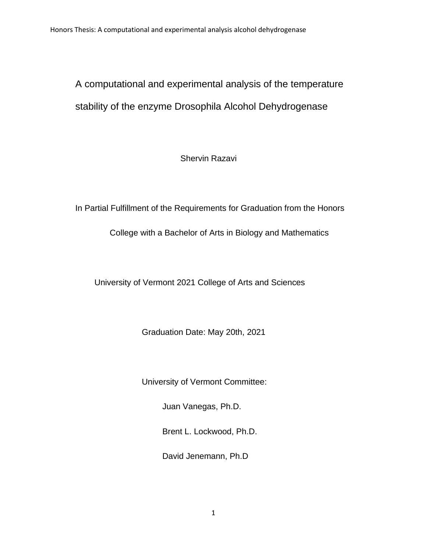# A computational and experimental analysis of the temperature stability of the enzyme Drosophila Alcohol Dehydrogenase

Shervin Razavi

In Partial Fulfillment of the Requirements for Graduation from the Honors

College with a Bachelor of Arts in Biology and Mathematics

University of Vermont 2021 College of Arts and Sciences

Graduation Date: May 20th, 2021

University of Vermont Committee:

Juan Vanegas, Ph.D.

Brent L. Lockwood, Ph.D.

David Jenemann, Ph.D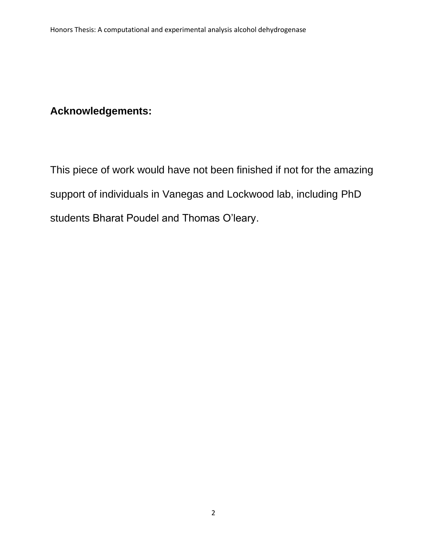## **Acknowledgements:**

This piece of work would have not been finished if not for the amazing support of individuals in Vanegas and Lockwood lab, including PhD students Bharat Poudel and Thomas O'leary.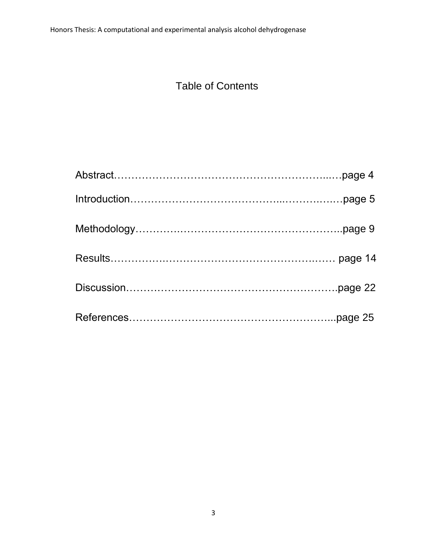# Table of Contents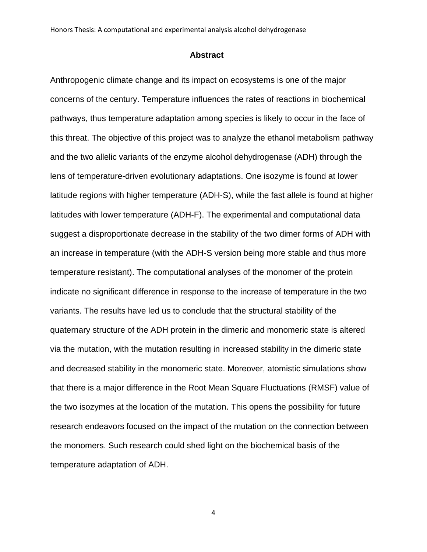#### **Abstract**

Anthropogenic climate change and its impact on ecosystems is one of the major concerns of the century. Temperature influences the rates of reactions in biochemical pathways, thus temperature adaptation among species is likely to occur in the face of this threat. The objective of this project was to analyze the ethanol metabolism pathway and the two allelic variants of the enzyme alcohol dehydrogenase (ADH) through the lens of temperature-driven evolutionary adaptations. One isozyme is found at lower latitude regions with higher temperature (ADH-S), while the fast allele is found at higher latitudes with lower temperature (ADH-F). The experimental and computational data suggest a disproportionate decrease in the stability of the two dimer forms of ADH with an increase in temperature (with the ADH-S version being more stable and thus more temperature resistant). The computational analyses of the monomer of the protein indicate no significant difference in response to the increase of temperature in the two variants. The results have led us to conclude that the structural stability of the quaternary structure of the ADH protein in the dimeric and monomeric state is altered via the mutation, with the mutation resulting in increased stability in the dimeric state and decreased stability in the monomeric state. Moreover, atomistic simulations show that there is a major difference in the Root Mean Square Fluctuations (RMSF) value of the two isozymes at the location of the mutation. This opens the possibility for future research endeavors focused on the impact of the mutation on the connection between the monomers. Such research could shed light on the biochemical basis of the temperature adaptation of ADH.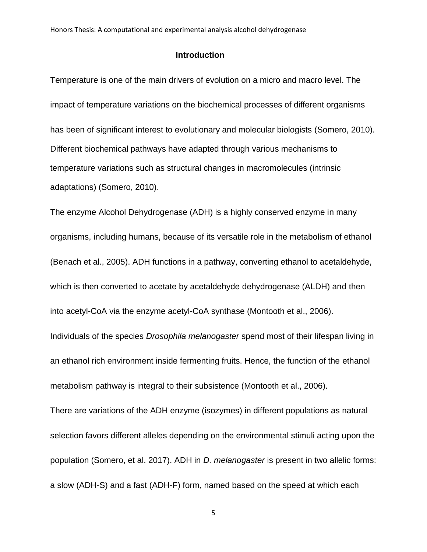### **Introduction**

Temperature is one of the main drivers of evolution on a micro and macro level. The impact of temperature variations on the biochemical processes of different organisms has been of significant interest to evolutionary and molecular biologists (Somero, 2010). Different biochemical pathways have adapted through various mechanisms to temperature variations such as structural changes in macromolecules (intrinsic adaptations) (Somero, 2010).

The enzyme Alcohol Dehydrogenase (ADH) is a highly conserved enzyme in many organisms, including humans, because of its versatile role in the metabolism of ethanol (Benach et al., 2005). ADH functions in a pathway, converting ethanol to acetaldehyde, which is then converted to acetate by acetaldehyde dehydrogenase (ALDH) and then into acetyl-CoA via the enzyme acetyl-CoA synthase (Montooth et al., 2006).

Individuals of the species *Drosophila melanogaster* spend most of their lifespan living in an ethanol rich environment inside fermenting fruits. Hence, the function of the ethanol metabolism pathway is integral to their subsistence (Montooth et al., 2006).

There are variations of the ADH enzyme (isozymes) in different populations as natural selection favors different alleles depending on the environmental stimuli acting upon the population (Somero, et al. 2017). ADH in *D. melanogaster* is present in two allelic forms: a slow (ADH-S) and a fast (ADH-F) form, named based on the speed at which each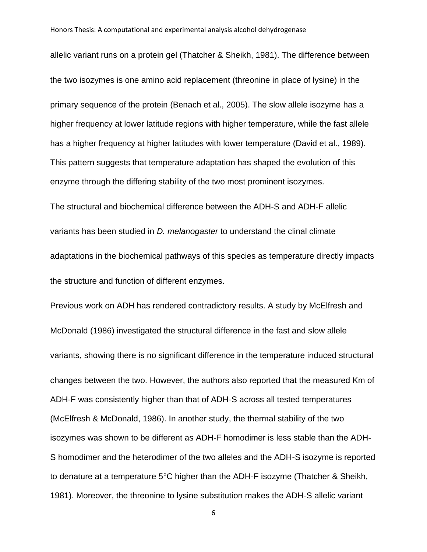allelic variant runs on a protein gel (Thatcher & Sheikh, 1981). The difference between the two isozymes is one amino acid replacement (threonine in place of lysine) in the primary sequence of the protein (Benach et al., 2005). The slow allele isozyme has a higher frequency at lower latitude regions with higher temperature, while the fast allele has a higher frequency at higher latitudes with lower temperature (David et al., 1989). This pattern suggests that temperature adaptation has shaped the evolution of this enzyme through the differing stability of the two most prominent isozymes.

The structural and biochemical difference between the ADH-S and ADH-F allelic variants has been studied in *D. melanogaster* to understand the clinal climate adaptations in the biochemical pathways of this species as temperature directly impacts the structure and function of different enzymes.

Previous work on ADH has rendered contradictory results. A study by McElfresh and McDonald (1986) investigated the structural difference in the fast and slow allele variants, showing there is no significant difference in the temperature induced structural changes between the two. However, the authors also reported that the measured Km of ADH-F was consistently higher than that of ADH-S across all tested temperatures (McElfresh & McDonald, 1986). In another study, the thermal stability of the two isozymes was shown to be different as ADH-F homodimer is less stable than the ADH-S homodimer and the heterodimer of the two alleles and the ADH-S isozyme is reported to denature at a temperature 5°C higher than the ADH-F isozyme (Thatcher & Sheikh, 1981). Moreover, the threonine to lysine substitution makes the ADH-S allelic variant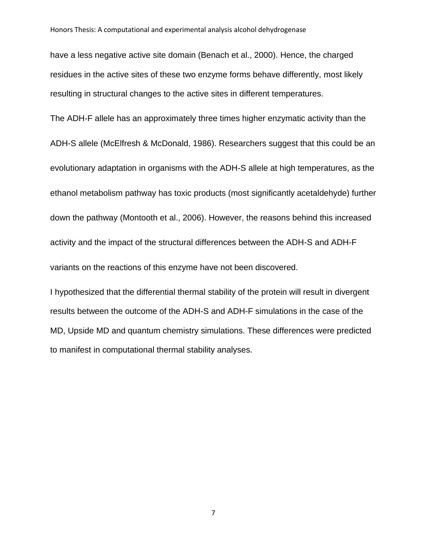have a less negative active site domain (Benach et al., 2000). Hence, the charged residues in the active sites of these two enzyme forms behave differently, most likely resulting in structural changes to the active sites in different temperatures.

The ADH-F allele has an approximately three times higher enzymatic activity than the ADH-S allele (McElfresh & McDonald, 1986). Researchers suggest that this could be an evolutionary adaptation in organisms with the ADH-S allele at high temperatures, as the ethanol metabolism pathway has toxic products (most significantly acetaldehyde) further down the pathway (Montooth et al., 2006). However, the reasons behind this increased activity and the impact of the structural differences between the ADH-S and ADH-F variants on the reactions of this enzyme have not been discovered.

I hypothesized that the differential thermal stability of the protein will result in divergent results between the outcome of the ADH-S and ADH-F simulations in the case of the MD, Upside MD and quantum chemistry simulations. These differences were predicted to manifest in computational thermal stability analyses.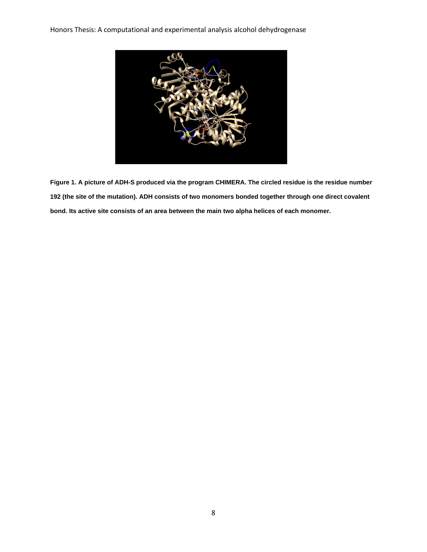

**Figure 1. A picture of ADH-S produced via the program CHIMERA. The circled residue is the residue number 192 (the site of the mutation). ADH consists of two monomers bonded together through one direct covalent bond. Its active site consists of an area between the main two alpha helices of each monomer.**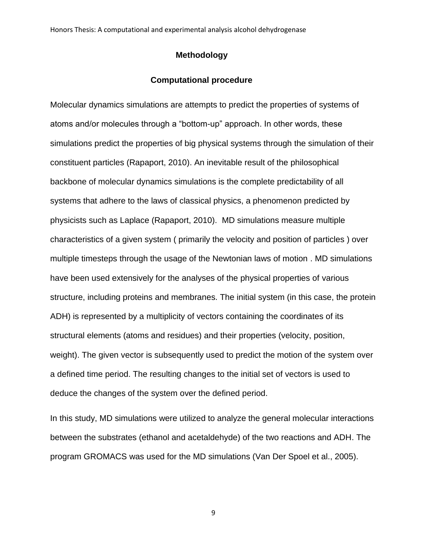## **Methodology**

#### **Computational procedure**

Molecular dynamics simulations are attempts to predict the properties of systems of atoms and/or molecules through a "bottom-up" approach. In other words, these simulations predict the properties of big physical systems through the simulation of their constituent particles (Rapaport, 2010). An inevitable result of the philosophical backbone of molecular dynamics simulations is the complete predictability of all systems that adhere to the laws of classical physics, a phenomenon predicted by physicists such as Laplace (Rapaport, 2010). MD simulations measure multiple characteristics of a given system ( primarily the velocity and position of particles ) over multiple timesteps through the usage of the Newtonian laws of motion . MD simulations have been used extensively for the analyses of the physical properties of various structure, including proteins and membranes. The initial system (in this case, the protein ADH) is represented by a multiplicity of vectors containing the coordinates of its structural elements (atoms and residues) and their properties (velocity, position, weight). The given vector is subsequently used to predict the motion of the system over a defined time period. The resulting changes to the initial set of vectors is used to deduce the changes of the system over the defined period.

In this study, MD simulations were utilized to analyze the general molecular interactions between the substrates (ethanol and acetaldehyde) of the two reactions and ADH. The program GROMACS was used for the MD simulations (Van Der Spoel et al., 2005).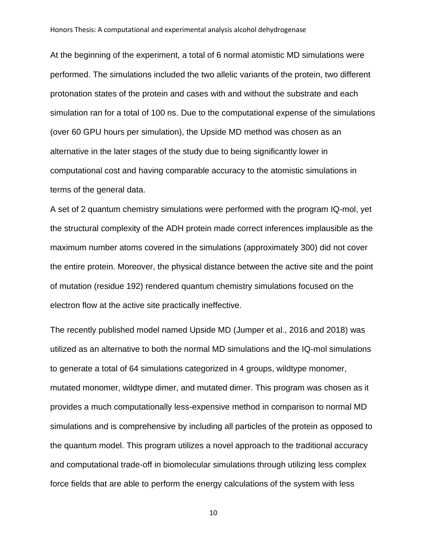At the beginning of the experiment, a total of 6 normal atomistic MD simulations were performed. The simulations included the two allelic variants of the protein, two different protonation states of the protein and cases with and without the substrate and each simulation ran for a total of 100 ns. Due to the computational expense of the simulations (over 60 GPU hours per simulation), the Upside MD method was chosen as an alternative in the later stages of the study due to being significantly lower in computational cost and having comparable accuracy to the atomistic simulations in terms of the general data.

A set of 2 quantum chemistry simulations were performed with the program IQ-mol, yet the structural complexity of the ADH protein made correct inferences implausible as the maximum number atoms covered in the simulations (approximately 300) did not cover the entire protein. Moreover, the physical distance between the active site and the point of mutation (residue 192) rendered quantum chemistry simulations focused on the electron flow at the active site practically ineffective.

The recently published model named Upside MD (Jumper et al., 2016 and 2018) was utilized as an alternative to both the normal MD simulations and the IQ-mol simulations to generate a total of 64 simulations categorized in 4 groups, wildtype monomer, mutated monomer, wildtype dimer, and mutated dimer. This program was chosen as it provides a much computationally less-expensive method in comparison to normal MD simulations and is comprehensive by including all particles of the protein as opposed to the quantum model. This program utilizes a novel approach to the traditional accuracy and computational trade-off in biomolecular simulations through utilizing less complex force fields that are able to perform the energy calculations of the system with less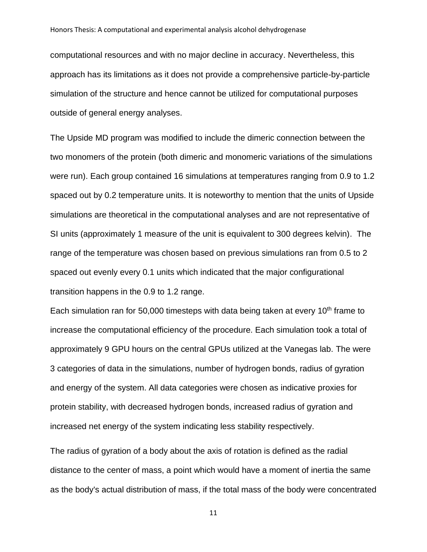computational resources and with no major decline in accuracy. Nevertheless, this approach has its limitations as it does not provide a comprehensive particle-by-particle simulation of the structure and hence cannot be utilized for computational purposes outside of general energy analyses.

The Upside MD program was modified to include the dimeric connection between the two monomers of the protein (both dimeric and monomeric variations of the simulations were run). Each group contained 16 simulations at temperatures ranging from 0.9 to 1.2 spaced out by 0.2 temperature units. It is noteworthy to mention that the units of Upside simulations are theoretical in the computational analyses and are not representative of SI units (approximately 1 measure of the unit is equivalent to 300 degrees kelvin). The range of the temperature was chosen based on previous simulations ran from 0.5 to 2 spaced out evenly every 0.1 units which indicated that the major configurational transition happens in the 0.9 to 1.2 range.

Each simulation ran for 50,000 timesteps with data being taken at every  $10<sup>th</sup>$  frame to increase the computational efficiency of the procedure. Each simulation took a total of approximately 9 GPU hours on the central GPUs utilized at the Vanegas lab. The were 3 categories of data in the simulations, number of hydrogen bonds, radius of gyration and energy of the system. All data categories were chosen as indicative proxies for protein stability, with decreased hydrogen bonds, increased radius of gyration and increased net energy of the system indicating less stability respectively.

The radius of gyration of a body about the axis of rotation is defined as the radial distance to the center of mass, a point which would have a moment of inertia the same as the body's actual distribution of mass, if the total mass of the body were concentrated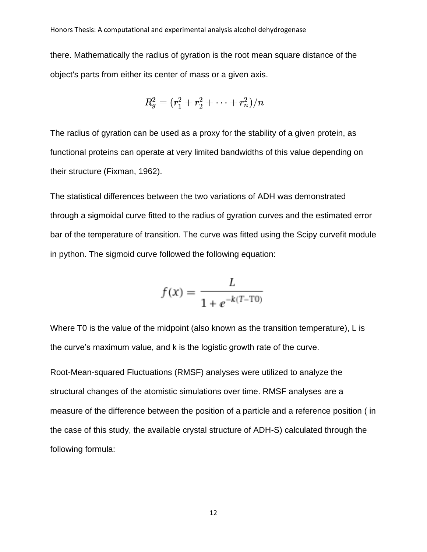there. Mathematically the radius of gyration is the root mean square distance of the object's parts from either its center of mass or a given axis.

$$
R_g^2 = (r_1^2 + r_2^2 + \cdots + r_n^2)/n
$$

The radius of gyration can be used as a proxy for the stability of a given protein, as functional proteins can operate at very limited bandwidths of this value depending on their structure (Fixman, 1962).

The statistical differences between the two variations of ADH was demonstrated through a sigmoidal curve fitted to the radius of gyration curves and the estimated error bar of the temperature of transition. The curve was fitted using the Scipy curvefit module in python. The sigmoid curve followed the following equation:

$$
f(x) = \frac{L}{1 + e^{-k(T - T0)}}
$$

Where T0 is the value of the midpoint (also known as the transition temperature), L is the curve's maximum value, and k is the logistic growth rate of the curve.

Root-Mean-squared Fluctuations (RMSF) analyses were utilized to analyze the structural changes of the atomistic simulations over time. RMSF analyses are a measure of the difference between the position of a particle and a reference position ( in the case of this study, the available crystal structure of ADH-S) calculated through the following formula: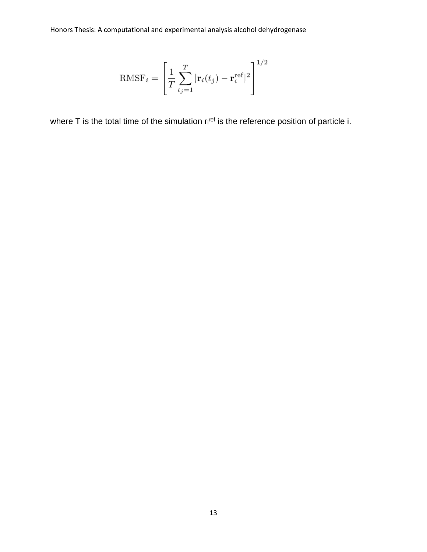$$
\text{RMSF}_{i} = \left[\frac{1}{T} \sum_{t_j=1}^{T} |\mathbf{r}_{i}(t_j) - \mathbf{r}_{i}^{\text{ref}}|^{2}\right]^{1/2}
$$

where T is the total time of the simulation  $r_i$ <sup>ref</sup> is the reference position of particle i.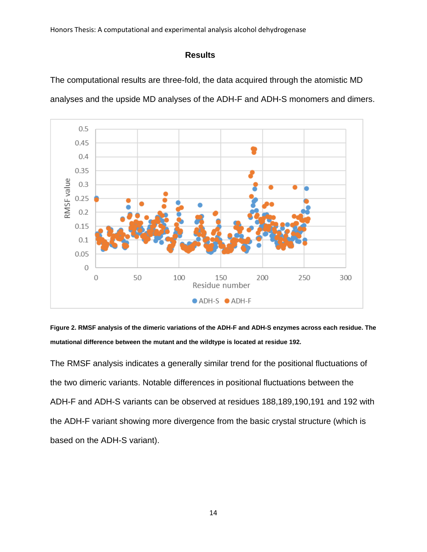## **Results**

The computational results are three-fold, the data acquired through the atomistic MD analyses and the upside MD analyses of the ADH-F and ADH-S monomers and dimers.



**Figure 2. RMSF analysis of the dimeric variations of the ADH-F and ADH-S enzymes across each residue. The mutational difference between the mutant and the wildtype is located at residue 192.**

The RMSF analysis indicates a generally similar trend for the positional fluctuations of the two dimeric variants. Notable differences in positional fluctuations between the ADH-F and ADH-S variants can be observed at residues 188,189,190,191 and 192 with the ADH-F variant showing more divergence from the basic crystal structure (which is based on the ADH-S variant).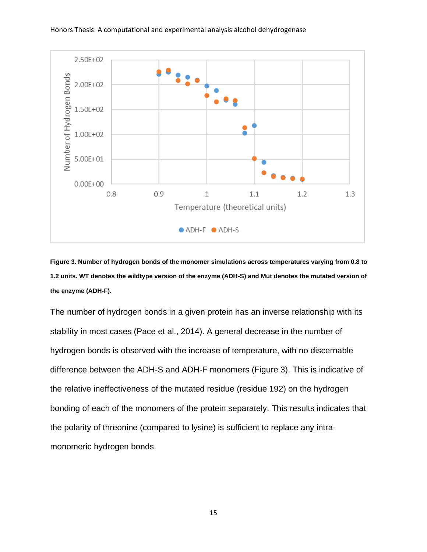

**Figure 3. Number of hydrogen bonds of the monomer simulations across temperatures varying from 0.8 to 1.2 units. WT denotes the wildtype version of the enzyme (ADH-S) and Mut denotes the mutated version of the enzyme (ADH-F).**

The number of hydrogen bonds in a given protein has an inverse relationship with its stability in most cases (Pace et al., 2014). A general decrease in the number of hydrogen bonds is observed with the increase of temperature, with no discernable difference between the ADH-S and ADH-F monomers (Figure 3). This is indicative of the relative ineffectiveness of the mutated residue (residue 192) on the hydrogen bonding of each of the monomers of the protein separately. This results indicates that the polarity of threonine (compared to lysine) is sufficient to replace any intramonomeric hydrogen bonds.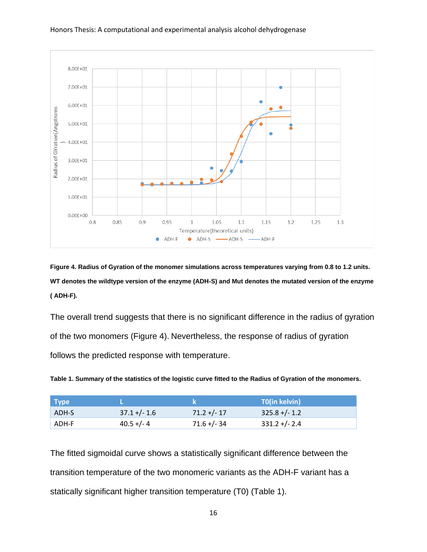

**Figure 4. Radius of Gyration of the monomer simulations across temperatures varying from 0.8 to 1.2 units. WT denotes the wildtype version of the enzyme (ADH-S) and Mut denotes the mutated version of the enzyme ( ADH-F).**

The overall trend suggests that there is no significant difference in the radius of gyration of the two monomers (Figure 4). Nevertheless, the response of radius of gyration follows the predicted response with temperature.

**Table 1. Summary of the statistics of the logistic curve fitted to the Radius of Gyration of the monomers.** 

| Type  |                |               | <b>T0(in kelvin)</b> |
|-------|----------------|---------------|----------------------|
| ADH-S | $37.1 +/- 1.6$ | $71.2 +/- 17$ | $325.8 +/- 1.2$      |
| ADH-F | $40.5 +/- 4$   | $71.6 +/- 34$ | $331.2 + (-2.4)$     |

The fitted sigmoidal curve shows a statistically significant difference between the transition temperature of the two monomeric variants as the ADH-F variant has a statically significant higher transition temperature (T0) (Table 1).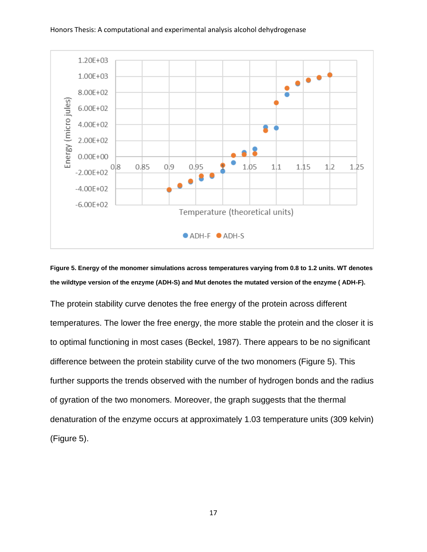

**Figure 5. Energy of the monomer simulations across temperatures varying from 0.8 to 1.2 units. WT denotes the wildtype version of the enzyme (ADH-S) and Mut denotes the mutated version of the enzyme ( ADH-F).**

The protein stability curve denotes the free energy of the protein across different temperatures. The lower the free energy, the more stable the protein and the closer it is to optimal functioning in most cases (Beckel, 1987). There appears to be no significant difference between the protein stability curve of the two monomers (Figure 5). This further supports the trends observed with the number of hydrogen bonds and the radius of gyration of the two monomers. Moreover, the graph suggests that the thermal denaturation of the enzyme occurs at approximately 1.03 temperature units (309 kelvin) (Figure 5).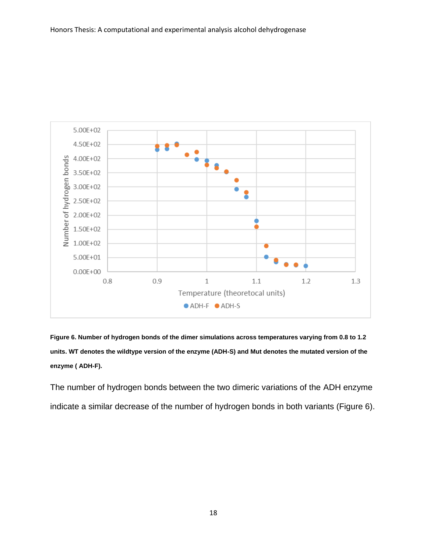

**Figure 6. Number of hydrogen bonds of the dimer simulations across temperatures varying from 0.8 to 1.2 units. WT denotes the wildtype version of the enzyme (ADH-S) and Mut denotes the mutated version of the enzyme ( ADH-F).**

The number of hydrogen bonds between the two dimeric variations of the ADH enzyme indicate a similar decrease of the number of hydrogen bonds in both variants (Figure 6).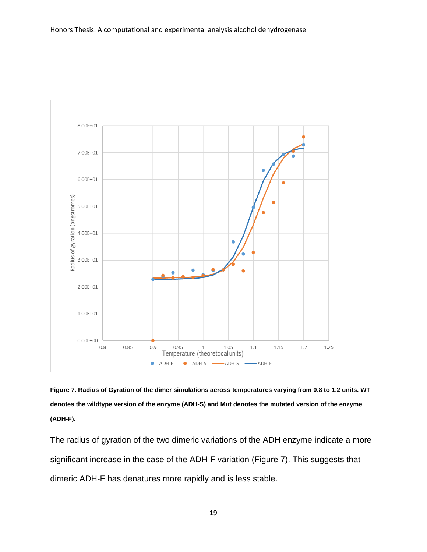

**Figure 7. Radius of Gyration of the dimer simulations across temperatures varying from 0.8 to 1.2 units. WT denotes the wildtype version of the enzyme (ADH-S) and Mut denotes the mutated version of the enzyme (ADH-F).**

The radius of gyration of the two dimeric variations of the ADH enzyme indicate a more significant increase in the case of the ADH-F variation (Figure 7). This suggests that dimeric ADH-F has denatures more rapidly and is less stable.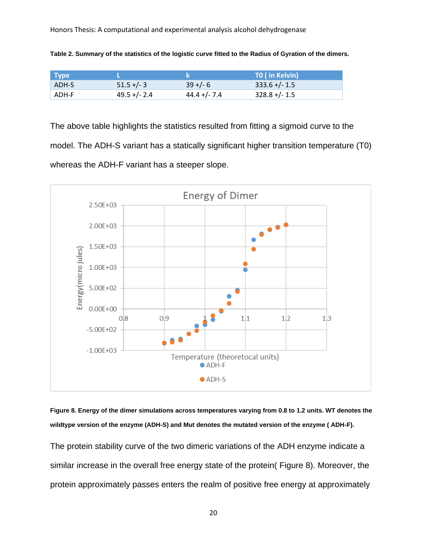| <b>Type</b> |                 |                 | TO (in Kelvin)   |
|-------------|-----------------|-----------------|------------------|
| ADH-S       | $51.5 +/- 3$    | $39 + (-6)$     | $333.6$ +/- 1.5  |
| ADH-F       | $49.5 + (-2.4)$ | $44.4 + (-7.4)$ | $328.8 + (-1.5)$ |

**Table 2. Summary of the statistics of the logistic curve fitted to the Radius of Gyration of the dimers.**

The above table highlights the statistics resulted from fitting a sigmoid curve to the model. The ADH-S variant has a statically significant higher transition temperature (T0) whereas the ADH-F variant has a steeper slope.



**Figure 8. Energy of the dimer simulations across temperatures varying from 0.8 to 1.2 units. WT denotes the wildtype version of the enzyme (ADH-S) and Mut denotes the mutated version of the enzyme ( ADH-F).**

The protein stability curve of the two dimeric variations of the ADH enzyme indicate a similar increase in the overall free energy state of the protein( Figure 8). Moreover, the protein approximately passes enters the realm of positive free energy at approximately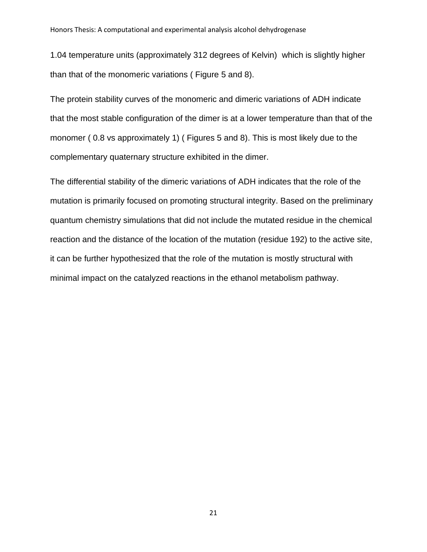1.04 temperature units (approximately 312 degrees of Kelvin) which is slightly higher than that of the monomeric variations ( Figure 5 and 8).

The protein stability curves of the monomeric and dimeric variations of ADH indicate that the most stable configuration of the dimer is at a lower temperature than that of the monomer ( 0.8 vs approximately 1) ( Figures 5 and 8). This is most likely due to the complementary quaternary structure exhibited in the dimer.

The differential stability of the dimeric variations of ADH indicates that the role of the mutation is primarily focused on promoting structural integrity. Based on the preliminary quantum chemistry simulations that did not include the mutated residue in the chemical reaction and the distance of the location of the mutation (residue 192) to the active site, it can be further hypothesized that the role of the mutation is mostly structural with minimal impact on the catalyzed reactions in the ethanol metabolism pathway.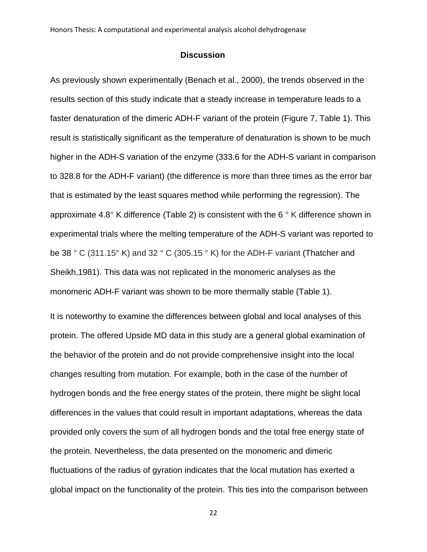#### **Discussion**

As previously shown experimentally (Benach et al., 2000), the trends observed in the results section of this study indicate that a steady increase in temperature leads to a faster denaturation of the dimeric ADH-F variant of the protein (Figure 7, Table 1). This result is statistically significant as the temperature of denaturation is shown to be much higher in the ADH-S variation of the enzyme (333.6 for the ADH-S variant in comparison to 328.8 for the ADH-F variant) (the difference is more than three times as the error bar that is estimated by the least squares method while performing the regression). The approximate 4.8° K difference (Table 2) is consistent with the 6 ° K difference shown in experimental trials where the melting temperature of the ADH-S variant was reported to be 38 ° C (311.15° K) and 32 ° C (305.15 ° K) for the ADH-F variant (Thatcher and Sheikh,1981). This data was not replicated in the monomeric analyses as the monomeric ADH-F variant was shown to be more thermally stable (Table 1).

It is noteworthy to examine the differences between global and local analyses of this protein. The offered Upside MD data in this study are a general global examination of the behavior of the protein and do not provide comprehensive insight into the local changes resulting from mutation. For example, both in the case of the number of hydrogen bonds and the free energy states of the protein, there might be slight local differences in the values that could result in important adaptations, whereas the data provided only covers the sum of all hydrogen bonds and the total free energy state of the protein. Nevertheless, the data presented on the monomeric and dimeric fluctuations of the radius of gyration indicates that the local mutation has exerted a global impact on the functionality of the protein. This ties into the comparison between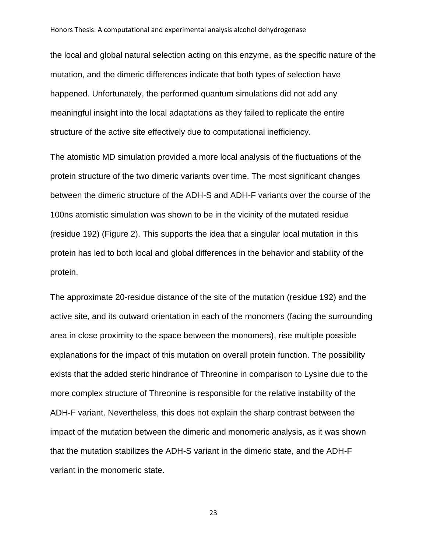the local and global natural selection acting on this enzyme, as the specific nature of the mutation, and the dimeric differences indicate that both types of selection have happened. Unfortunately, the performed quantum simulations did not add any meaningful insight into the local adaptations as they failed to replicate the entire structure of the active site effectively due to computational inefficiency.

The atomistic MD simulation provided a more local analysis of the fluctuations of the protein structure of the two dimeric variants over time. The most significant changes between the dimeric structure of the ADH-S and ADH-F variants over the course of the 100ns atomistic simulation was shown to be in the vicinity of the mutated residue (residue 192) (Figure 2). This supports the idea that a singular local mutation in this protein has led to both local and global differences in the behavior and stability of the protein.

The approximate 20-residue distance of the site of the mutation (residue 192) and the active site, and its outward orientation in each of the monomers (facing the surrounding area in close proximity to the space between the monomers), rise multiple possible explanations for the impact of this mutation on overall protein function. The possibility exists that the added steric hindrance of Threonine in comparison to Lysine due to the more complex structure of Threonine is responsible for the relative instability of the ADH-F variant. Nevertheless, this does not explain the sharp contrast between the impact of the mutation between the dimeric and monomeric analysis, as it was shown that the mutation stabilizes the ADH-S variant in the dimeric state, and the ADH-F variant in the monomeric state.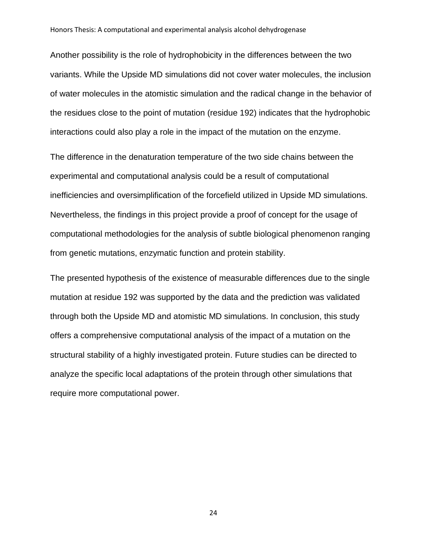Another possibility is the role of hydrophobicity in the differences between the two variants. While the Upside MD simulations did not cover water molecules, the inclusion of water molecules in the atomistic simulation and the radical change in the behavior of the residues close to the point of mutation (residue 192) indicates that the hydrophobic interactions could also play a role in the impact of the mutation on the enzyme.

The difference in the denaturation temperature of the two side chains between the experimental and computational analysis could be a result of computational inefficiencies and oversimplification of the forcefield utilized in Upside MD simulations. Nevertheless, the findings in this project provide a proof of concept for the usage of computational methodologies for the analysis of subtle biological phenomenon ranging from genetic mutations, enzymatic function and protein stability.

The presented hypothesis of the existence of measurable differences due to the single mutation at residue 192 was supported by the data and the prediction was validated through both the Upside MD and atomistic MD simulations. In conclusion, this study offers a comprehensive computational analysis of the impact of a mutation on the structural stability of a highly investigated protein. Future studies can be directed to analyze the specific local adaptations of the protein through other simulations that require more computational power.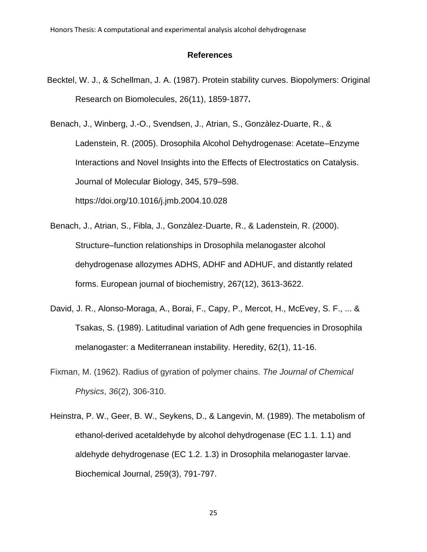#### **References**

Becktel, W. J., & Schellman, J. A. (1987). Protein stability curves. Biopolymers: Original Research on Biomolecules, 26(11), 1859-1877**.**

Benach, J., Winberg, J.-O., Svendsen, J., Atrian, S., Gonzàlez-Duarte, R., & Ladenstein, R. (2005). Drosophila Alcohol Dehydrogenase: Acetate–Enzyme Interactions and Novel Insights into the Effects of Electrostatics on Catalysis. Journal of Molecular Biology, 345, 579–598. https://doi.org/10.1016/j.jmb.2004.10.028

- Benach, J., Atrian, S., Fibla, J., Gonzàlez‐Duarte, R., & Ladenstein, R. (2000). Structure–function relationships in Drosophila melanogaster alcohol dehydrogenase allozymes ADHS, ADHF and ADHUF, and distantly related forms. European journal of biochemistry, 267(12), 3613-3622.
- David, J. R., Alonso-Moraga, A., Borai, F., Capy, P., Mercot, H., McEvey, S. F., ... & Tsakas, S. (1989). Latitudinal variation of Adh gene frequencies in Drosophila melanogaster: a Mediterranean instability. Heredity, 62(1), 11-16.
- Fixman, M. (1962). Radius of gyration of polymer chains. *The Journal of Chemical Physics*, *36*(2), 306-310.
- Heinstra, P. W., Geer, B. W., Seykens, D., & Langevin, M. (1989). The metabolism of ethanol-derived acetaldehyde by alcohol dehydrogenase (EC 1.1. 1.1) and aldehyde dehydrogenase (EC 1.2. 1.3) in Drosophila melanogaster larvae. Biochemical Journal, 259(3), 791-797.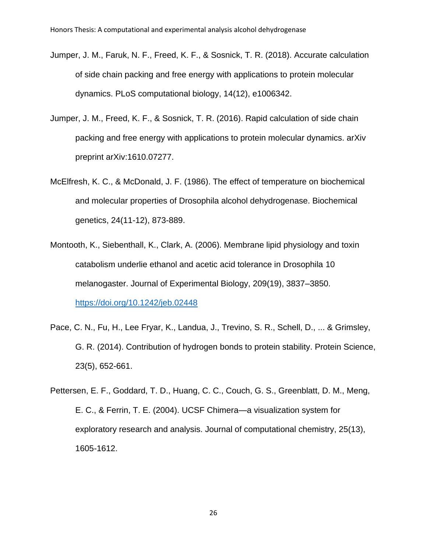- Jumper, J. M., Faruk, N. F., Freed, K. F., & Sosnick, T. R. (2018). Accurate calculation of side chain packing and free energy with applications to protein molecular dynamics. PLoS computational biology, 14(12), e1006342.
- Jumper, J. M., Freed, K. F., & Sosnick, T. R. (2016). Rapid calculation of side chain packing and free energy with applications to protein molecular dynamics. arXiv preprint arXiv:1610.07277.
- McElfresh, K. C., & McDonald, J. F. (1986). The effect of temperature on biochemical and molecular properties of Drosophila alcohol dehydrogenase. Biochemical genetics, 24(11-12), 873-889.
- Montooth, K., Siebenthall, K., Clark, A. (2006). Membrane lipid physiology and toxin catabolism underlie ethanol and acetic acid tolerance in Drosophila 10 melanogaster. Journal of Experimental Biology, 209(19), 3837–3850. <https://doi.org/10.1242/jeb.02448>
- Pace, C. N., Fu, H., Lee Fryar, K., Landua, J., Trevino, S. R., Schell, D., ... & Grimsley, G. R. (2014). Contribution of hydrogen bonds to protein stability. Protein Science, 23(5), 652-661.
- Pettersen, E. F., Goddard, T. D., Huang, C. C., Couch, G. S., Greenblatt, D. M., Meng, E. C., & Ferrin, T. E. (2004). UCSF Chimera—a visualization system for exploratory research and analysis. Journal of computational chemistry, 25(13), 1605-1612.